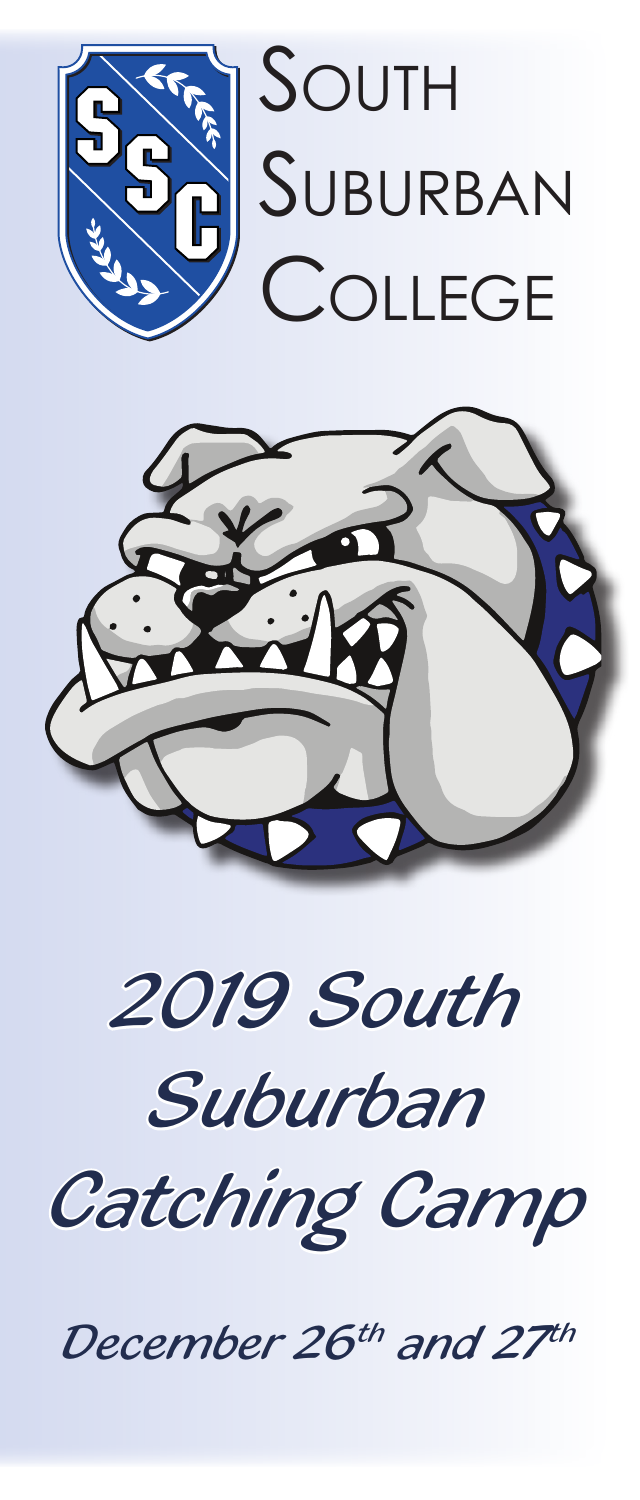



*2019 South* 

# *Suburban*

*Catching Camp*

*December 26th and 27th*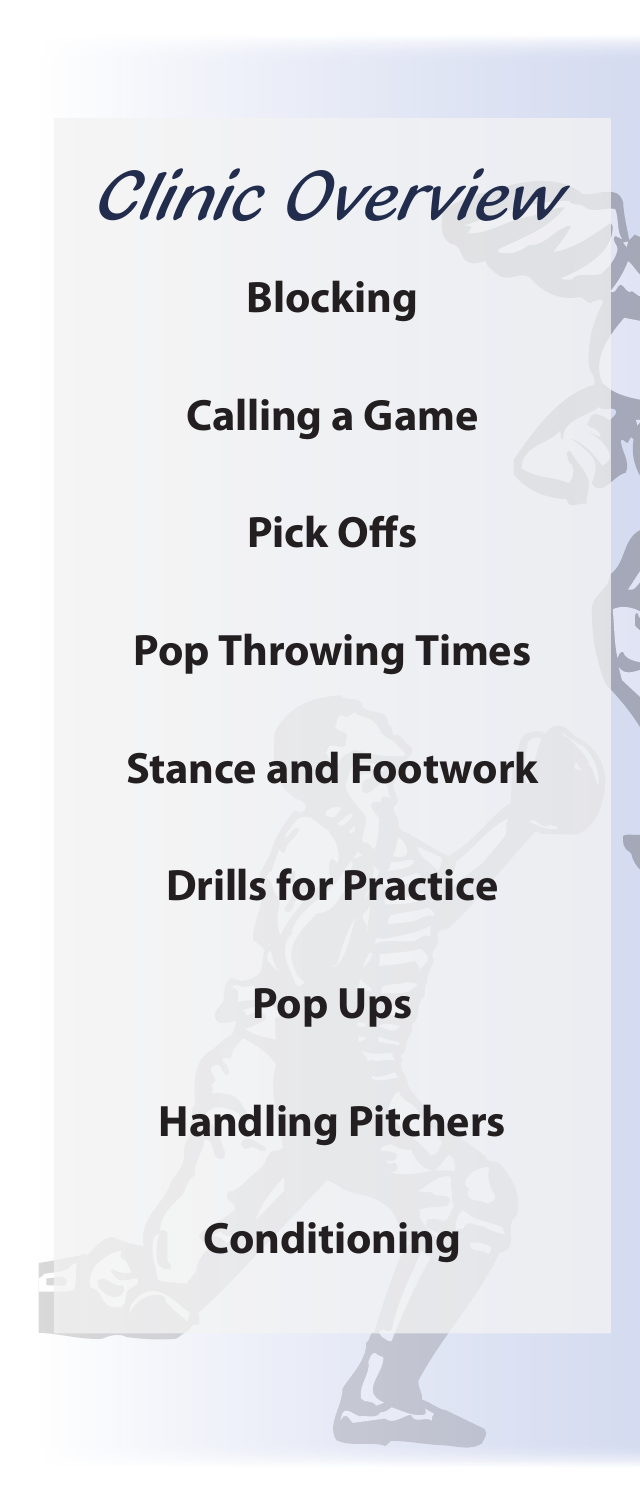*Clinic Overview*

### **Blocking**

## **Calling a Game**

# **Pick Offs**

# **Pop Throwing Times**

#### **Stance and Footwork**

## **Drills for Practice**

### **Pop Ups**

# **Handling Pitchers**

**Conditioning**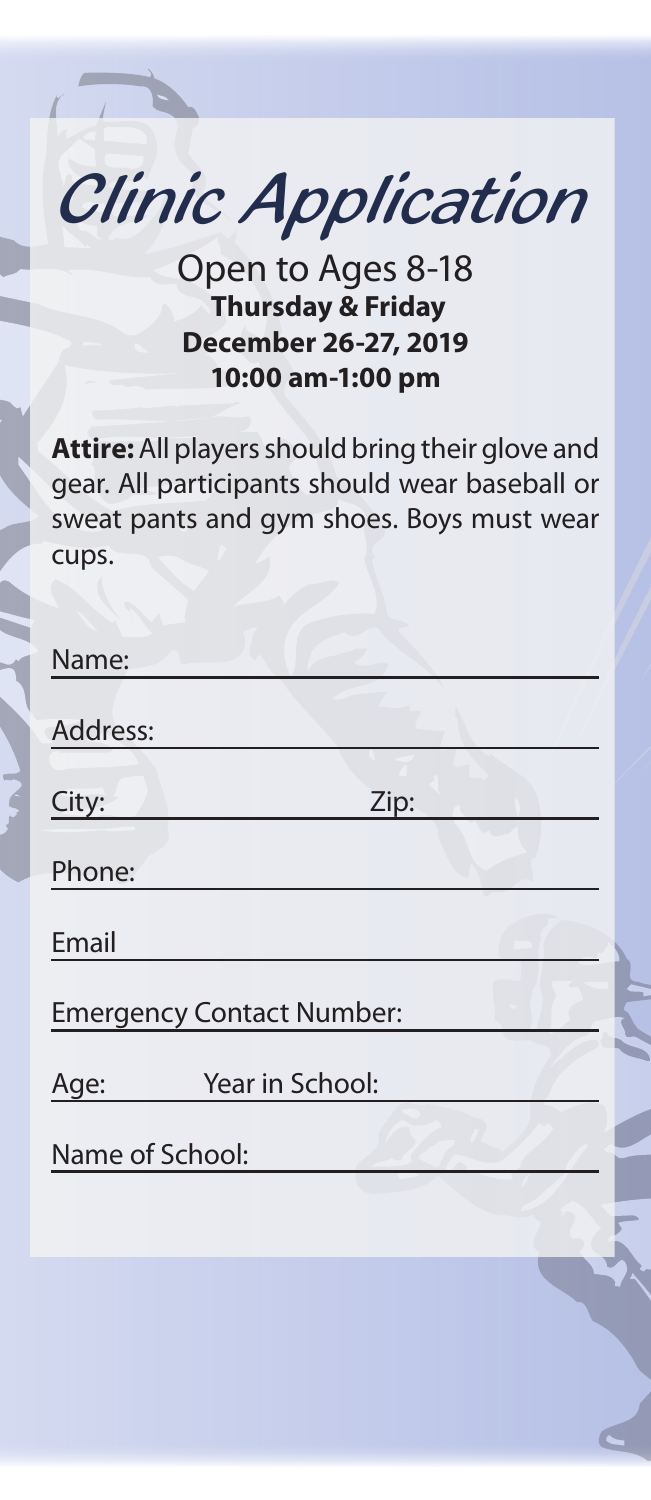*Clinic Application*

Open to Ages 8-18  **Thursday & Friday December 26-27, 2019 10:00 am-1:00 pm**

**Attire:** All players should bring their glove and gear. All participants should wear baseball or sweat pants and gym shoes. Boys must wear cups.

| Name:           |                                  |  |
|-----------------|----------------------------------|--|
|                 |                                  |  |
| Address:        |                                  |  |
|                 |                                  |  |
| City:           | Zip:                             |  |
|                 |                                  |  |
| Phone:          |                                  |  |
|                 |                                  |  |
| Email           |                                  |  |
|                 | <b>Emergency Contact Number:</b> |  |
|                 |                                  |  |
| Age:            | Year in School:                  |  |
| Name of School: |                                  |  |
|                 |                                  |  |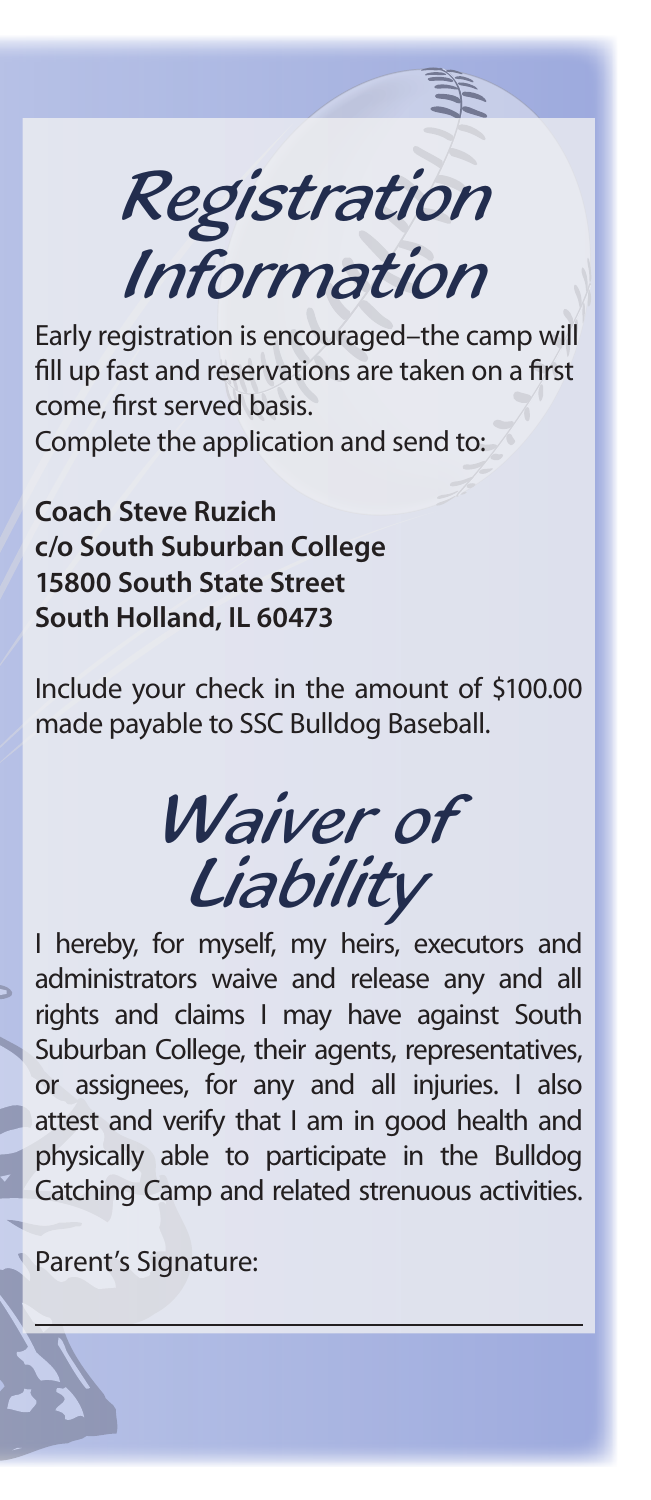*Registration Information*

Early registration is encouraged–the camp will fill up fast and reservations are taken on a first come, first served basis. Complete the application and send to:

**Coach Steve Ruzich c/o South Suburban College 15800 South State Street South Holland, IL 60473**

Include your check in the amount of \$100.00 made payable to SSC Bulldog Baseball.

*Waiver of Liability*

I hereby, for myself, my heirs, executors and administrators waive and release any and all rights and claims I may have against South Suburban College, their agents, representatives, or assignees, for any and all injuries. I also attest and verify that I am in good health and physically able to participate in the Bulldog Catching Camp and related strenuous activities.

Parent's Signature: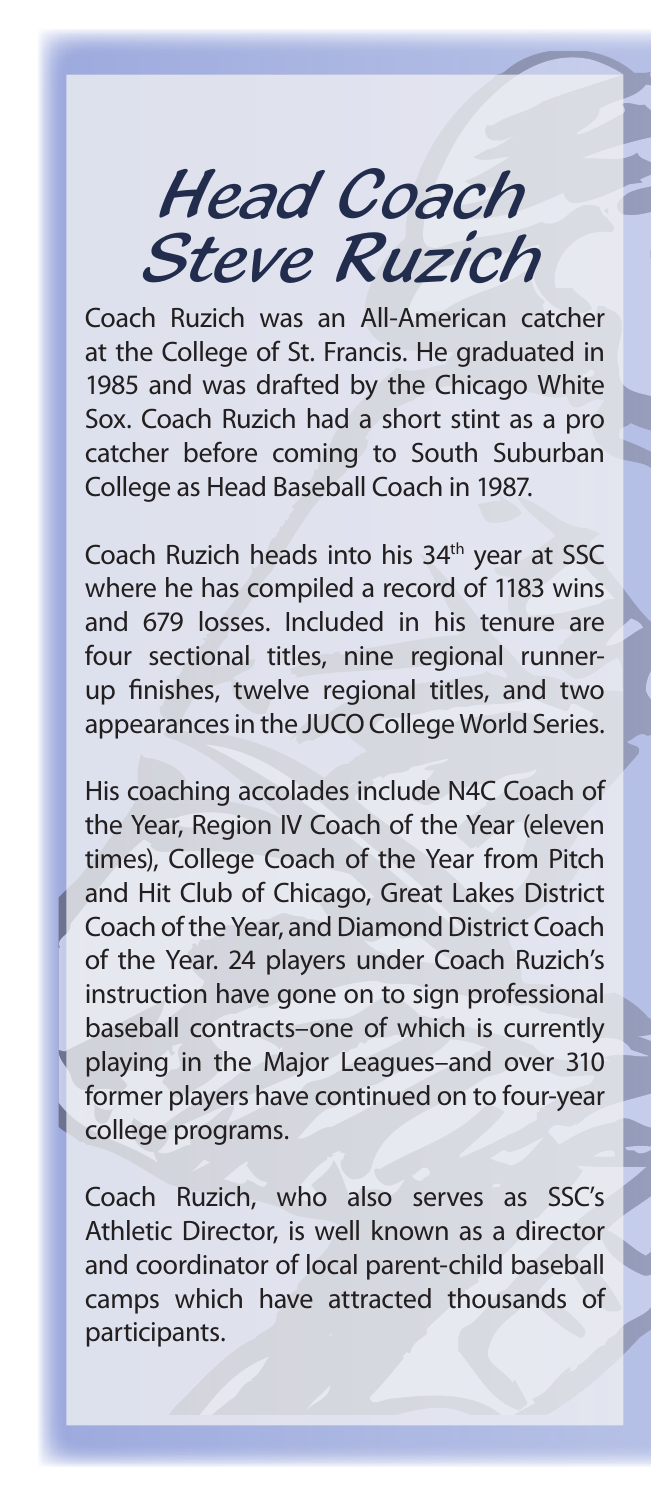*Head Coach Steve Ruzich*

Coach Ruzich was an All-American catcher at the College of St. Francis. He graduated in 1985 and was drafted by the Chicago White Sox. Coach Ruzich had a short stint as a pro catcher before coming to South Suburban College as Head Baseball Coach in 1987.

Coach Ruzich heads into his 34<sup>th</sup> year at SSC where he has compiled a record of 1183 wins and 679 losses. Included in his tenure are four sectional titles, nine regional runnerup finishes, twelve regional titles, and two appearances in the JUCO College World Series.

His coaching accolades include N4C Coach of the Year, Region IV Coach of the Year (eleven times), College Coach of the Year from Pitch and Hit Club of Chicago, Great Lakes District Coach of the Year, and Diamond District Coach of the Year. 24 players under Coach Ruzich's instruction have gone on to sign professional baseball contracts–one of which is currently playing in the Major Leagues–and over 310 former players have continued on to four-year college programs.

Coach Ruzich, who also serves as SSC's Athletic Director, is well known as a director and coordinator of local parent-child baseball camps which have attracted thousands of participants.